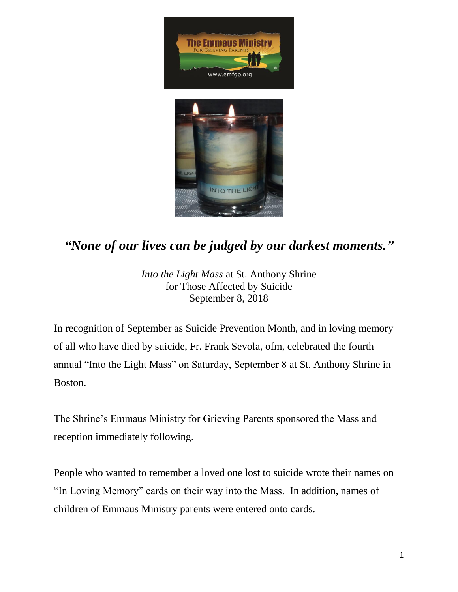

## *"None of our lives can be judged by our darkest moments."*

*Into the Light Mass* at St. Anthony Shrine for Those Affected by Suicide September 8, 2018

In recognition of September as Suicide Prevention Month, and in loving memory of all who have died by suicide, Fr. Frank Sevola, ofm, celebrated the fourth annual "Into the Light Mass" on Saturday, September 8 at St. Anthony Shrine in Boston.

The Shrine's Emmaus Ministry for Grieving Parents sponsored the Mass and reception immediately following.

People who wanted to remember a loved one lost to suicide wrote their names on "In Loving Memory" cards on their way into the Mass. In addition, names of children of Emmaus Ministry parents were entered onto cards.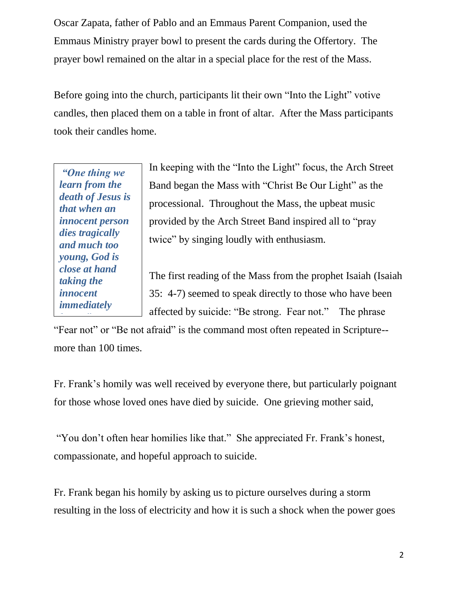Oscar Zapata, father of Pablo and an Emmaus Parent Companion, used the Emmaus Ministry prayer bowl to present the cards during the Offertory. The prayer bowl remained on the altar in a special place for the rest of the Mass.

Before going into the church, participants lit their own "Into the Light" votive candles, then placed them on a table in front of altar. After the Mass participants took their candles home.

*"One thing we learn from the death of Jesus is that when an innocent person dies tragically and much too young, God is close at hand taking the innocent immediately* 

*home."* 

In keeping with the "Into the Light" focus, the Arch Street Band began the Mass with "Christ Be Our Light" as the processional. Throughout the Mass, the upbeat music provided by the Arch Street Band inspired all to "pray twice" by singing loudly with enthusiasm.

The first reading of the Mass from the prophet Isaiah (Isaiah 35: 4-7) seemed to speak directly to those who have been affected by suicide: "Be strong. Fear not." The phrase

"Fear not" or "Be not afraid" is the command most often repeated in Scripture- more than 100 times.

Fr. Frank's homily was well received by everyone there, but particularly poignant for those whose loved ones have died by suicide. One grieving mother said,

"You don't often hear homilies like that." She appreciated Fr. Frank's honest, compassionate, and hopeful approach to suicide.

Fr. Frank began his homily by asking us to picture ourselves during a storm resulting in the loss of electricity and how it is such a shock when the power goes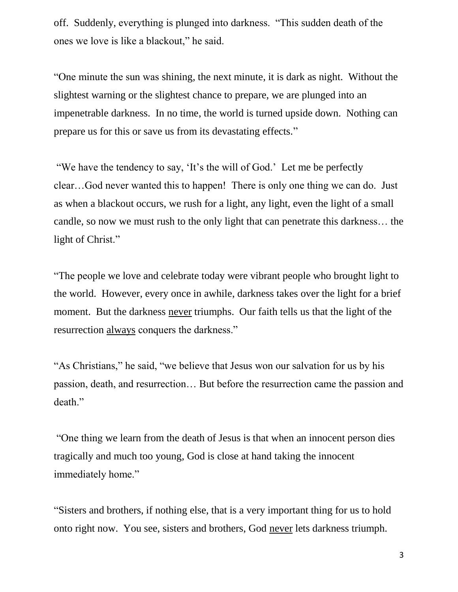off. Suddenly, everything is plunged into darkness. "This sudden death of the ones we love is like a blackout," he said.

"One minute the sun was shining, the next minute, it is dark as night. Without the slightest warning or the slightest chance to prepare, we are plunged into an impenetrable darkness. In no time, the world is turned upside down. Nothing can prepare us for this or save us from its devastating effects."

"We have the tendency to say, 'It's the will of God.' Let me be perfectly clear…God never wanted this to happen! There is only one thing we can do. Just as when a blackout occurs, we rush for a light, any light, even the light of a small candle, so now we must rush to the only light that can penetrate this darkness… the light of Christ."

"The people we love and celebrate today were vibrant people who brought light to the world. However, every once in awhile, darkness takes over the light for a brief moment. But the darkness never triumphs. Our faith tells us that the light of the resurrection always conquers the darkness."

"As Christians," he said, "we believe that Jesus won our salvation for us by his passion, death, and resurrection… But before the resurrection came the passion and death."

"One thing we learn from the death of Jesus is that when an innocent person dies tragically and much too young, God is close at hand taking the innocent immediately home."

"Sisters and brothers, if nothing else, that is a very important thing for us to hold onto right now. You see, sisters and brothers, God never lets darkness triumph.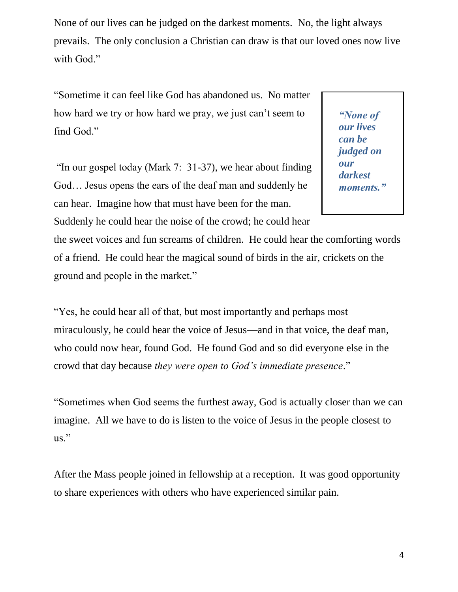None of our lives can be judged on the darkest moments. No, the light always prevails. The only conclusion a Christian can draw is that our loved ones now live with God."

"Sometime it can feel like God has abandoned us. No matter how hard we try or how hard we pray, we just can't seem to find God."

"In our gospel today (Mark 7: 31-37), we hear about finding God… Jesus opens the ears of the deaf man and suddenly he can hear. Imagine how that must have been for the man.

Suddenly he could hear the noise of the crowd; he could hear

the sweet voices and fun screams of children. He could hear the comforting words of a friend. He could hear the magical sound of birds in the air, crickets on the ground and people in the market."

"Yes, he could hear all of that, but most importantly and perhaps most miraculously, he could hear the voice of Jesus—and in that voice, the deaf man, who could now hear, found God. He found God and so did everyone else in the crowd that day because *they were open to God's immediate presence*."

"Sometimes when God seems the furthest away, God is actually closer than we can imagine. All we have to do is listen to the voice of Jesus in the people closest to us."

After the Mass people joined in fellowship at a reception. It was good opportunity to share experiences with others who have experienced similar pain.

*"None of our lives can be judged on our darkest moments."*